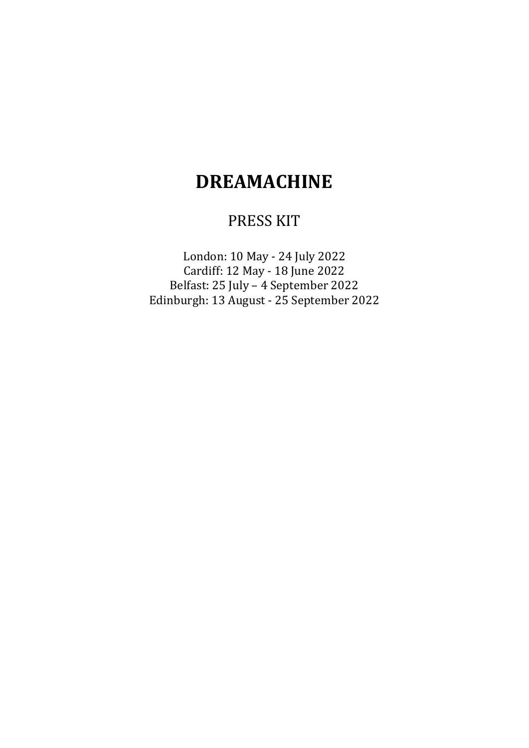# **DREAMACHINE**

## PRESS KIT

London: 10 May - 24 July 2022 Cardiff: 12 May - 18 June 2022 Belfast: 25 July – 4 September 2022 Edinburgh: 13 August - 25 September 2022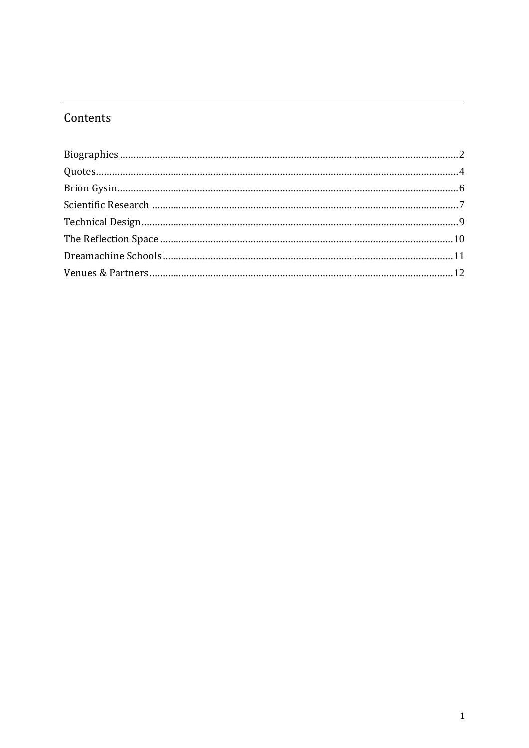## Contents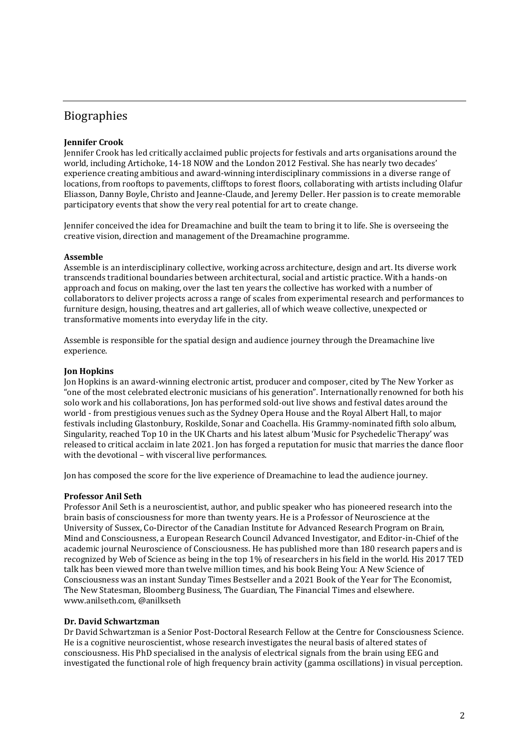### <span id="page-2-0"></span>Biographies

### **Jennifer Crook**

Jennifer Crook has led critically acclaimed public projects for festivals and arts organisations around the world, including Artichoke, 14-18 NOW and the London 2012 Festival. She has nearly two decades' experience creating ambitious and award-winning interdisciplinary commissions in a diverse range of locations, from rooftops to pavements, clifftops to forest floors, collaborating with artists including Olafur Eliasson, Danny Boyle, Christo and Jeanne-Claude, and Jeremy Deller. Her passion is to create memorable participatory events that show the very real potential for art to create change.

Jennifer conceived the idea for Dreamachine and built the team to bring it to life. She is overseeing the creative vision, direction and management of the Dreamachine programme.

### **Assemble**

Assemble is an interdisciplinary collective, working across architecture, design and art. Its diverse work transcends traditional boundaries between architectural, social and artistic practice. With a hands-on approach and focus on making, over the last ten years the collective has worked with a number of collaborators to deliver projects across a range of scales from experimental research and performances to furniture design, housing, theatres and art galleries, all of which weave collective, unexpected or transformative moments into everyday life in the city.

Assemble is responsible for the spatial design and audience journey through the Dreamachine live experience.

### **Jon Hopkins**

Jon Hopkins is an award-winning electronic artist, producer and composer, cited by The New Yorker as "one of the most celebrated electronic musicians of his generation". Internationally renowned for both his solo work and his collaborations, Jon has performed sold-out live shows and festival dates around the world - from prestigious venues such as the Sydney Opera House and the Royal Albert Hall, to major festivals including Glastonbury, Roskilde, Sonar and Coachella. His Grammy-nominated fifth solo album, Singularity, reached Top 10 in the UK Charts and his latest album 'Music for Psychedelic Therapy' was released to critical acclaim in late 2021. Jon has forged a reputation for music that marries the dance floor with the devotional – with visceral live performances.

Jon has composed the score for the live experience of Dreamachine to lead the audience journey.

### **Professor Anil Seth**

Professor Anil Seth is a neuroscientist, author, and public speaker who has pioneered research into the brain basis of consciousness for more than twenty years. He is a Professor of Neuroscience at the University of Sussex, Co-Director of the Canadian Institute for Advanced Research Program on Brain, Mind and Consciousness, a European Research Council Advanced Investigator, and Editor-in-Chief of the academic journal Neuroscience of Consciousness. He has published more than 180 research papers and is recognized by Web of Science as being in the top 1% of researchers in his field in the world. His 2017 TED talk has been viewed more than twelve million times, and his book Being You: A New Science of Consciousness was an instant Sunday Times Bestseller and a 2021 Book of the Year for The Economist, The New Statesman, Bloomberg Business, The Guardian, The Financial Times and elsewhere. www.anilseth.com, @anilkseth

### **Dr. David Schwartzman**

Dr David Schwartzman is a Senior Post-Doctoral Research Fellow at the Centre for Consciousness Science. He is a cognitive neuroscientist, whose research investigates the neural basis of altered states of consciousness. His PhD specialised in the analysis of electrical signals from the brain using EEG and investigated the functional role of high frequency brain activity (gamma oscillations) in visual perception.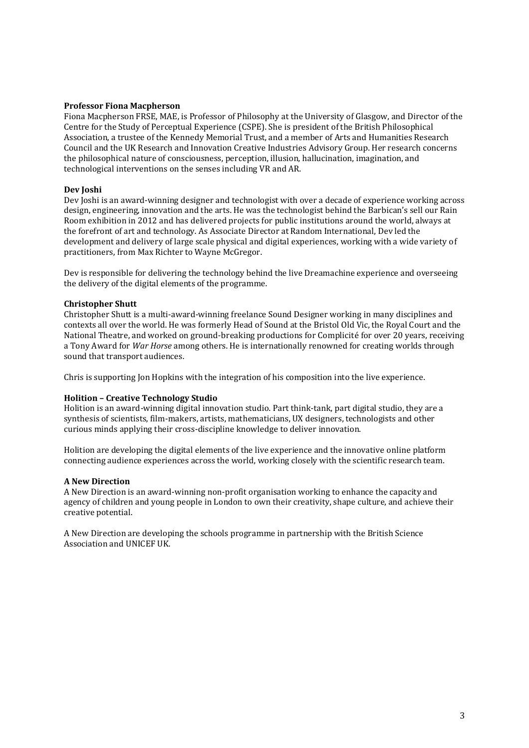### **Professor Fiona Macpherson**

Fiona Macpherson FRSE, MAE, is Professor of Philosophy at the University of Glasgow, and Director of the Centre for the Study of Perceptual Experience (CSPE). She is president of the British Philosophical Association, a trustee of the Kennedy Memorial Trust, and a member of Arts and Humanities Research Council and the UK Research and Innovation Creative Industries Advisory Group. Her research concerns the philosophical nature of consciousness, perception, illusion, hallucination, imagination, and technological interventions on the senses including VR and AR.

### **Dev Joshi**

Dev Joshi is an award-winning designer and technologist with over a decade of experience working across design, engineering, innovation and the arts. He was the technologist behind the Barbican's sell our Rain Room exhibition in 2012 and has delivered projects for public institutions around the world, always at the forefront of art and technology. As Associate Director at Random International, Dev led the development and delivery of large scale physical and digital experiences, working with a wide variety of practitioners, from Max Richter to Wayne McGregor.

Dev is responsible for delivering the technology behind the live Dreamachine experience and overseeing the delivery of the digital elements of the programme.

### **Christopher Shutt**

Christopher Shutt is a multi-award-winning freelance Sound Designer working in many disciplines and contexts all over the world. He was formerly Head of Sound at the Bristol Old Vic, the Royal Court and the National Theatre, and worked on ground-breaking productions for Complicité for over 20 years, receiving a Tony Award for *War Horse* among others. He is internationally renowned for creating worlds through sound that transport audiences.

Chris is supporting Jon Hopkins with the integration of his composition into the live experience.

### **Holition – Creative Technology Studio**

Holition is an award-winning digital innovation studio. Part think-tank, part digital studio, they are a synthesis of scientists, film-makers, artists, mathematicians, UX designers, technologists and other curious minds applying their cross-discipline knowledge to deliver innovation.

Holition are developing the digital elements of the live experience and the innovative online platform connecting audience experiences across the world, working closely with the scientific research team.

### **A New Direction**

A New Direction is an award-winning non-profit organisation working to enhance the capacity and agency of children and young people in London to own their creativity, shape culture, and achieve their creative potential.

A New Direction are developing the schools programme in partnership with the British Science Association and UNICEF UK.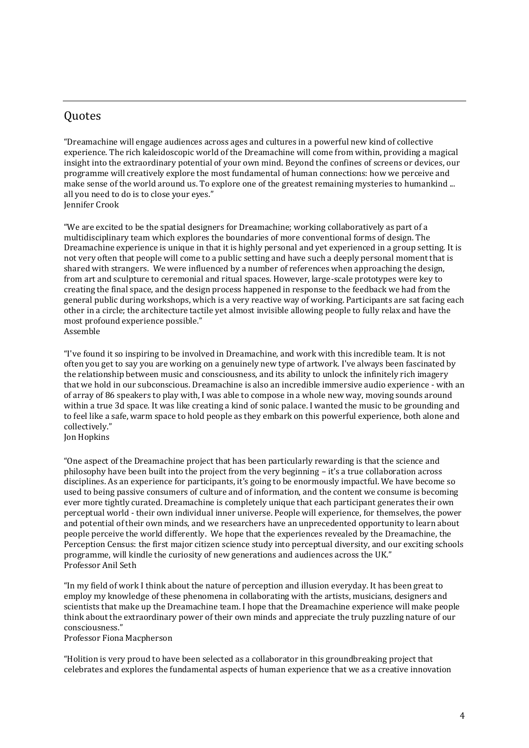### <span id="page-4-0"></span>**Ouotes**

"Dreamachine will engage audiences across ages and cultures in a powerful new kind of collective experience. The rich kaleidoscopic world of the Dreamachine will come from within, providing a magical insight into the extraordinary potential of your own mind. Beyond the confines of screens or devices, our programme will creatively explore the most fundamental of human connections: how we perceive and make sense of the world around us. To explore one of the greatest remaining mysteries to humankind ... all you need to do is to close your eyes." Jennifer Crook

"We are excited to be the spatial designers for Dreamachine; working collaboratively as part of a multidisciplinary team which explores the boundaries of more conventional forms of design. The Dreamachine experience is unique in that it is highly personal and yet experienced in a group setting. It is not very often that people will come to a public setting and have such a deeply personal moment that is shared with strangers. We were influenced by a number of references when approaching the design, from art and sculpture to ceremonial and ritual spaces. However, large-scale prototypes were key to creating the final space, and the design process happened in response to the feedback we had from the general public during workshops, which is a very reactive way of working. Participants are sat facing each other in a circle; the architecture tactile yet almost invisible allowing people to fully relax and have the most profound experience possible." Assemble

"I've found it so inspiring to be involved in Dreamachine, and work with this incredible team. It is not often you get to say you are working on a genuinely new type of artwork. I've always been fascinated by the relationship between music and consciousness, and its ability to unlock the infinitely rich imagery that we hold in our subconscious. Dreamachine is also an incredible immersive audio experience - with an of array of 86 speakers to play with, I was able to compose in a whole new way, moving sounds around within a true 3d space. It was like creating a kind of sonic palace. I wanted the music to be grounding and to feel like a safe, warm space to hold people as they embark on this powerful experience, both alone and collectively." Jon Hopkins

"One aspect of the Dreamachine project that has been particularly rewarding is that the science and philosophy have been built into the project from the very beginning – it's a true collaboration across disciplines. As an experience for participants, it's going to be enormously impactful. We have become so used to being passive consumers of culture and of information, and the content we consume is becoming ever more tightly curated. Dreamachine is completely unique that each participant generates their own perceptual world - their own individual inner universe. People will experience, for themselves, the power and potential of their own minds, and we researchers have an unprecedented opportunity to learn about people perceive the world differently. We hope that the experiences revealed by the Dreamachine, the Perception Census: the first major citizen science study into perceptual diversity, and our exciting schools programme, will kindle the curiosity of new generations and audiences across the UK." Professor Anil Seth

"In my field of work I think about the nature of perception and illusion everyday. It has been great to employ my knowledge of these phenomena in collaborating with the artists, musicians, designers and scientists that make up the Dreamachine team. I hope that the Dreamachine experience will make people think about the extraordinary power of their own minds and appreciate the truly puzzling nature of our consciousness."

Professor Fiona Macpherson

"Holition is very proud to have been selected as a collaborator in this groundbreaking project that celebrates and explores the fundamental aspects of human experience that we as a creative innovation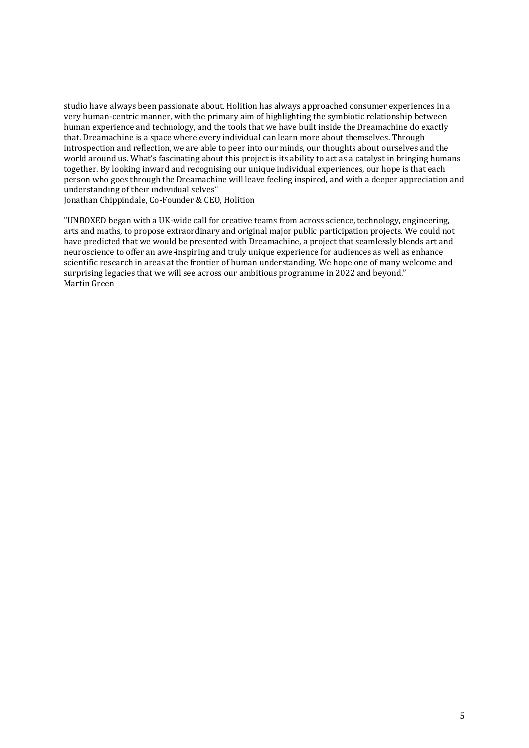studio have always been passionate about. Holition has always approached consumer experiences in a very human-centric manner, with the primary aim of highlighting the symbiotic relationship between human experience and technology, and the tools that we have built inside the Dreamachine do exactly that. Dreamachine is a space where every individual can learn more about themselves. Through introspection and reflection, we are able to peer into our minds, our thoughts about ourselves and the world around us. What's fascinating about this project is its ability to act as a catalyst in bringing humans together. By looking inward and recognising our unique individual experiences, our hope is that each person who goes through the Dreamachine will leave feeling inspired, and with a deeper appreciation and understanding of their individual selves"

Jonathan Chippindale, Co-Founder & CEO, Holition

"UNBOXED began with a UK-wide call for creative teams from across science, technology, engineering, arts and maths, to propose extraordinary and original major public participation projects. We could not have predicted that we would be presented with Dreamachine, a project that seamlessly blends art and neuroscience to offer an awe-inspiring and truly unique experience for audiences as well as enhance scientific research in areas at the frontier of human understanding. We hope one of many welcome and surprising legacies that we will see across our ambitious programme in 2022 and beyond." Martin Green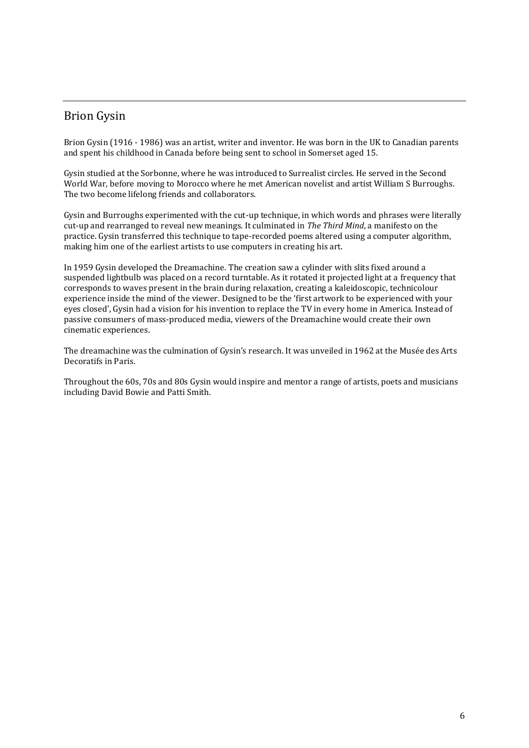### <span id="page-6-0"></span>Brion Gysin

Brion Gysin (1916 - 1986) was an artist, writer and inventor. He was born in the UK to Canadian parents and spent his childhood in Canada before being sent to school in Somerset aged 15.

Gysin studied at the Sorbonne, where he was introduced to Surrealist circles. He served in the Second World War, before moving to Morocco where he met American novelist and artist William S Burroughs. The two become lifelong friends and collaborators.

Gysin and Burroughs experimented with the cut-up technique, in which words and phrases were literally cut-up and rearranged to reveal new meanings. It culminated in *The Third Mind*, a manifesto on the practice. Gysin transferred this technique to tape-recorded poems altered using a computer algorithm, making him one of the earliest artists to use computers in creating his art.

In 1959 Gysin developed the Dreamachine. The creation saw a cylinder with slits fixed around a suspended lightbulb was placed on a record turntable. As it rotated it projected light at a frequency that corresponds to waves present in the brain during relaxation, creating a kaleidoscopic, technicolour experience inside the mind of the viewer. Designed to be the 'first artwork to be experienced with your eyes closed', Gysin had a vision for his invention to replace the TV in every home in America. Instead of passive consumers of mass-produced media, viewers of the Dreamachine would create their own cinematic experiences.

The dreamachine was the culmination of Gysin's research. It was unveiled in 1962 at the Musée des Arts Decoratifs in Paris.

Throughout the 60s, 70s and 80s Gysin would inspire and mentor a range of artists, poets and musicians including David Bowie and Patti Smith.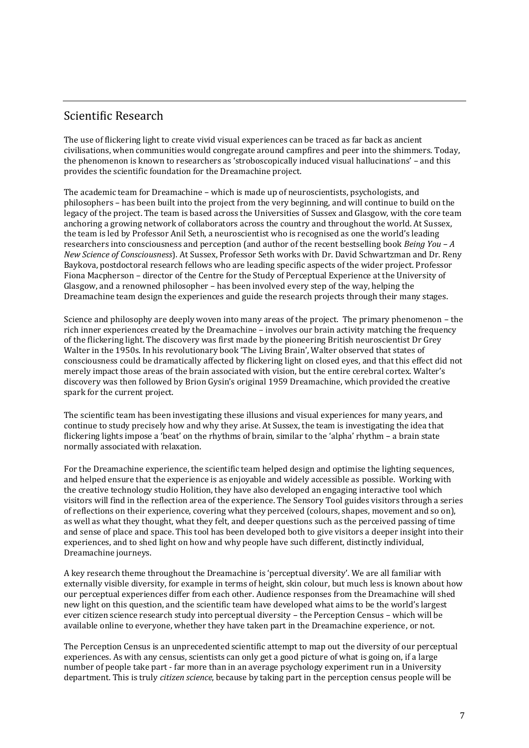### <span id="page-7-0"></span>Scientific Research

The use of flickering light to create vivid visual experiences can be traced as far back as ancient civilisations, when communities would congregate around campfires and peer into the shimmers. Today, the phenomenon is known to researchers as 'stroboscopically induced visual hallucinations' – and this provides the scientific foundation for the Dreamachine project.

The academic team for Dreamachine – which is made up of neuroscientists, psychologists, and philosophers – has been built into the project from the very beginning, and will continue to build on the legacy of the project. The team is based across the Universities of Sussex and Glasgow, with the core team anchoring a growing network of collaborators across the country and throughout the world. At Sussex, the team is led by Professor Anil Seth, a neuroscientist who is recognised as one the world's leading researchers into consciousness and perception (and author of the recent bestselling book *Being You – A New Science of Consciousness*). At Sussex, Professor Seth works with Dr. David Schwartzman and Dr. Reny Baykova, postdoctoral research fellows who are leading specific aspects of the wider project. Professor Fiona Macpherson – director of the Centre for the Study of Perceptual Experience at the University of Glasgow, and a renowned philosopher – has been involved every step of the way, helping the Dreamachine team design the experiences and guide the research projects through their many stages.

Science and philosophy are deeply woven into many areas of the project. The primary phenomenon – the rich inner experiences created by the Dreamachine – involves our brain activity matching the frequency of the flickering light. The discovery was first made by the pioneering British neuroscientist Dr Grey Walter in the 1950s. In his revolutionary book 'The Living Brain', Walter observed that states of consciousness could be dramatically affected by flickering light on closed eyes, and that this effect did not merely impact those areas of the brain associated with vision, but the entire cerebral cortex. Walter's discovery was then followed by Brion Gysin's original 1959 Dreamachine, which provided the creative spark for the current project.

The scientific team has been investigating these illusions and visual experiences for many years, and continue to study precisely how and why they arise. At Sussex, the team is investigating the idea that flickering lights impose a 'beat' on the rhythms of brain, similar to the 'alpha' rhythm – a brain state normally associated with relaxation.

For the Dreamachine experience, the scientific team helped design and optimise the lighting sequences, and helped ensure that the experience is as enjoyable and widely accessible as possible. Working with the creative technology studio Holition, they have also developed an engaging interactive tool which visitors will find in the reflection area of the experience. The Sensory Tool guides visitors through a series of reflections on their experience, covering what they perceived (colours, shapes, movement and so on), as well as what they thought, what they felt, and deeper questions such as the perceived passing of time and sense of place and space. This tool has been developed both to give visitors a deeper insight into their experiences, and to shed light on how and why people have such different, distinctly individual, Dreamachine journeys.

A key research theme throughout the Dreamachine is 'perceptual diversity'. We are all familiar with externally visible diversity, for example in terms of height, skin colour, but much less is known about how our perceptual experiences differ from each other. Audience responses from the Dreamachine will shed new light on this question, and the scientific team have developed what aims to be the world's largest ever citizen science research study into perceptual diversity – the Perception Census – which will be available online to everyone, whether they have taken part in the Dreamachine experience, or not.

The Perception Census is an unprecedented scientific attempt to map out the diversity of our perceptual experiences. As with any census, scientists can only get a good picture of what is going on, if a large number of people take part - far more than in an average psychology experiment run in a University department. This is truly *citizen science*, because by taking part in the perception census people will be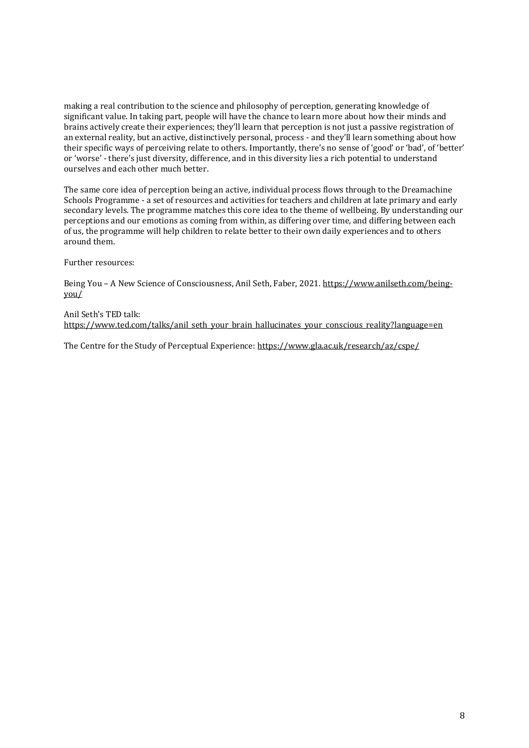making a real contribution to the science and philosophy of perception, generating knowledge of significant value. In taking part, people will have the chance to learn more about how their minds and brains actively create their experiences; they'll learn that perception is not just a passive registration of an external reality, but an active, distinctively personal, process - and they'll learn something about how their specific ways of perceiving relate to others. Importantly, there's no sense of 'good' or 'bad', of 'better' or 'worse' - there's just diversity, difference, and in this diversity lies a rich potential to understand ourselves and each other much better.

The same core idea of perception being an active, individual process flows through to the Dreamachine Schools Programme - a set of resources and activities for teachers and children at late primary and early secondary levels. The programme matches this core idea to the theme of wellbeing. By understanding our perceptions and our emotions as coming from within, as differing over time, and differing between each of us, the programme will help children to relate better to their own daily experiences and to others around them.

Further resources:

Being You – A New Science of Consciousness, Anil Seth, Faber, 2021. [https://www.anilseth.com/being](https://www.anilseth.com/being-you/)[you/](https://www.anilseth.com/being-you/)

Anil Seth's TED talk: [https://www.ted.com/talks/anil\\_seth\\_your\\_brain\\_hallucinates\\_your\\_conscious\\_reality?language=en](https://www.ted.com/talks/anil_seth_your_brain_hallucinates_your_conscious_reality?language=en)

The Centre for the Study of Perceptual Experience:<https://www.gla.ac.uk/research/az/cspe/>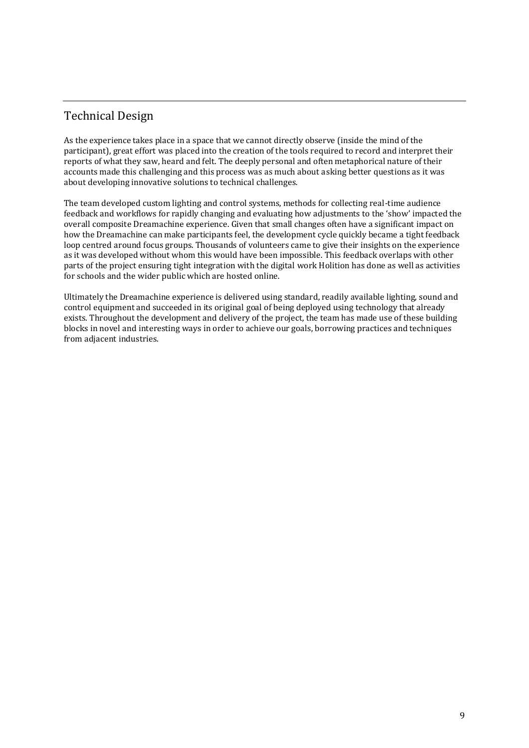### <span id="page-9-0"></span>Technical Design

As the experience takes place in a space that we cannot directly observe (inside the mind of the participant), great effort was placed into the creation of the tools required to record and interpret their reports of what they saw, heard and felt. The deeply personal and often metaphorical nature of their accounts made this challenging and this process was as much about asking better questions as it was about developing innovative solutions to technical challenges.

The team developed custom lighting and control systems, methods for collecting real-time audience feedback and workflows for rapidly changing and evaluating how adjustments to the 'show' impacted the overall composite Dreamachine experience. Given that small changes often have a significant impact on how the Dreamachine can make participants feel, the development cycle quickly became a tight feedback loop centred around focus groups. Thousands of volunteers came to give their insights on the experience as it was developed without whom this would have been impossible. This feedback overlaps with other parts of the project ensuring tight integration with the digital work Holition has done as well as activities for schools and the wider public which are hosted online.

Ultimately the Dreamachine experience is delivered using standard, readily available lighting, sound and control equipment and succeeded in its original goal of being deployed using technology that already exists. Throughout the development and delivery of the project, the team has made use of these building blocks in novel and interesting ways in order to achieve our goals, borrowing practices and techniques from adjacent industries.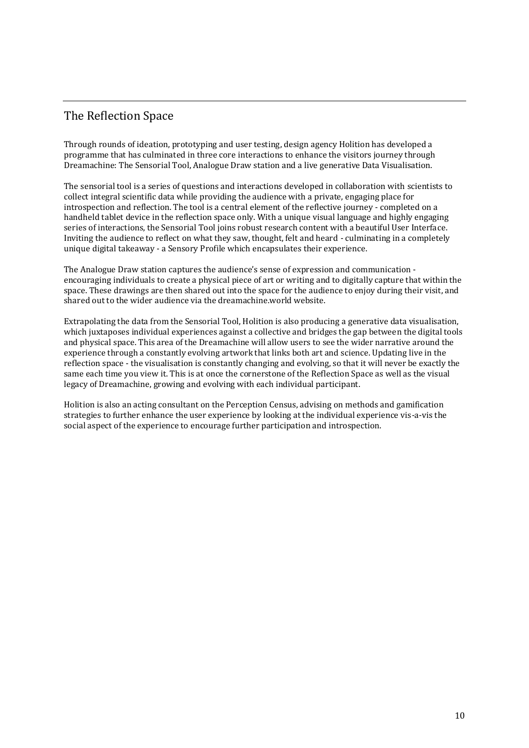### <span id="page-10-0"></span>The Reflection Space

Through rounds of ideation, prototyping and user testing, design agency Holition has developed a programme that has culminated in three core interactions to enhance the visitors journey through Dreamachine: The Sensorial Tool, Analogue Draw station and a live generative Data Visualisation.

The sensorial tool is a series of questions and interactions developed in collaboration with scientists to collect integral scientific data while providing the audience with a private, engaging place for introspection and reflection. The tool is a central element of the reflective journey - completed on a handheld tablet device in the reflection space only. With a unique visual language and highly engaging series of interactions, the Sensorial Tool joins robust research content with a beautiful User Interface. Inviting the audience to reflect on what they saw, thought, felt and heard - culminating in a completely unique digital takeaway - a Sensory Profile which encapsulates their experience.

The Analogue Draw station captures the audience's sense of expression and communication encouraging individuals to create a physical piece of art or writing and to digitally capture that within the space. These drawings are then shared out into the space for the audience to enjoy during their visit, and shared out to the wider audience via the dreamachine.world website.

Extrapolating the data from the Sensorial Tool, Holition is also producing a generative data visualisation, which juxtaposes individual experiences against a collective and bridges the gap between the digital tools and physical space. This area of the Dreamachine will allow users to see the wider narrative around the experience through a constantly evolving artwork that links both art and science. Updating live in the reflection space - the visualisation is constantly changing and evolving, so that it will never be exactly the same each time you view it. This is at once the cornerstone of the Reflection Space as well as the visual legacy of Dreamachine, growing and evolving with each individual participant.

Holition is also an acting consultant on the Perception Census, advising on methods and gamification strategies to further enhance the user experience by looking at the individual experience vis-a-vis the social aspect of the experience to encourage further participation and introspection.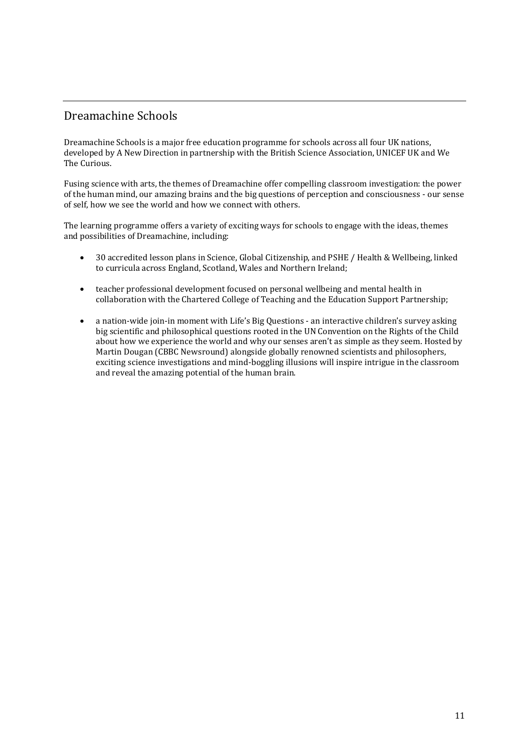### <span id="page-11-0"></span>Dreamachine Schools

Dreamachine Schools is a major free education programme for schools across all four UK nations, developed by A New Direction in partnership with the British Science Association, UNICEF UK and We The Curious

Fusing science with arts, the themes of Dreamachine offer compelling classroom investigation: the power of the human mind, our amazing brains and the big questions of perception and consciousness - our sense of self, how we see the world and how we connect with others.

The learning programme offers a variety of exciting ways for schools to engage with the ideas, themes and possibilities of Dreamachine, including:

- 30 accredited lesson plans in Science, Global Citizenship, and PSHE / Health & Wellbeing, linked to curricula across England, Scotland, Wales and Northern Ireland;
- teacher professional development focused on personal wellbeing and mental health in collaboration with the Chartered College of Teaching and the Education Support Partnership;
- a nation-wide join-in moment with Life's Big Questions an interactive children's survey asking big scientific and philosophical questions rooted in the UN Convention on the Rights of the Child about how we experience the world and why our senses aren't as simple as they seem. Hosted by Martin Dougan (CBBC Newsround) alongside globally renowned scientists and philosophers, exciting science investigations and mind-boggling illusions will inspire intrigue in the classroom and reveal the amazing potential of the human brain.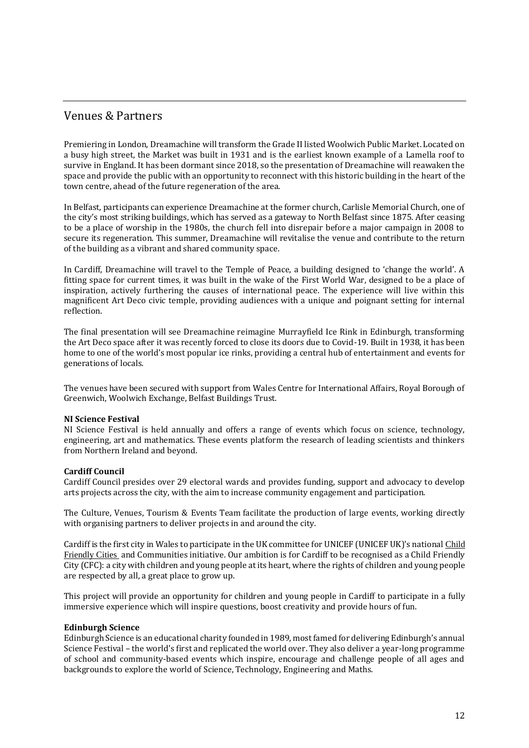### <span id="page-12-0"></span>Venues & Partners

Premiering in London, Dreamachine will transform the Grade II listed Woolwich Public Market. Located on a busy high street, the Market was built in 1931 and is the earliest known example of a Lamella roof to survive in England. It has been dormant since 2018, so the presentation of Dreamachine will reawaken the space and provide the public with an opportunity to reconnect with this historic building in the heart of the town centre, ahead of the future regeneration of the area.

In Belfast, participants can experience Dreamachine at the former church, Carlisle Memorial Church, one of the city's most striking buildings, which has served as a gateway to North Belfast since 1875. After ceasing to be a place of worship in the 1980s, the church fell into disrepair before a major campaign in 2008 to secure its regeneration. This summer, Dreamachine will revitalise the venue and contribute to the return of the building as a vibrant and shared community space.

In Cardiff, Dreamachine will travel to the Temple of Peace, a building designed to 'change the world'. A fitting space for current times, it was built in the wake of the First World War, designed to be a place of inspiration, actively furthering the causes of international peace. The experience will live within this magnificent Art Deco civic temple, providing audiences with a unique and poignant setting for internal reflection.

The final presentation will see Dreamachine reimagine Murrayfield Ice Rink in Edinburgh, transforming the Art Deco space after it was recently forced to close its doors due to Covid-19. Built in 1938, it has been home to one of the world's most popular ice rinks, providing a central hub of entertainment and events for generations of locals.

The venues have been secured with support from Wales Centre for International Affairs, Royal Borough of Greenwich, Woolwich Exchange, Belfast Buildings Trust.

### **NI Science Festival**

NI Science Festival is held annually and offers a range of events which focus on science, technology, engineering, art and mathematics. These events platform the research of leading scientists and thinkers from Northern Ireland and beyond.

### **Cardiff Council**

Cardiff Council presides over 29 electoral wards and provides funding, support and advocacy to develop arts projects across the city, with the aim to increase community engagement and participation.

The Culture, Venues, Tourism & Events Team facilitate the production of large events, working directly with organising partners to deliver projects in and around the city.

Cardiff is the first city in Wales to participate in the UK committee for UNICEF (UNICEF UK)'s national [Child](https://childfriendlycities.org/) [Friendly](https://childfriendlycities.org/) Cities and Communities initiative. Our ambition is for Cardiff to be recognised as a Child Friendly City (CFC): a city with children and young people at its heart, where the rights of children and young people are respected by all, a great place to grow up.

This project will provide an opportunity for children and young people in Cardiff to participate in a fully immersive experience which will inspire questions, boost creativity and provide hours of fun.

### **Edinburgh Science**

Edinburgh Science is an educational charity founded in 1989, most famed for delivering Edinburgh's annual Science Festival – the world's first and replicated the world over. They also deliver a year-long programme of school and community-based events which inspire, encourage and challenge people of all ages and backgrounds to explore the world of Science, Technology, Engineering and Maths.